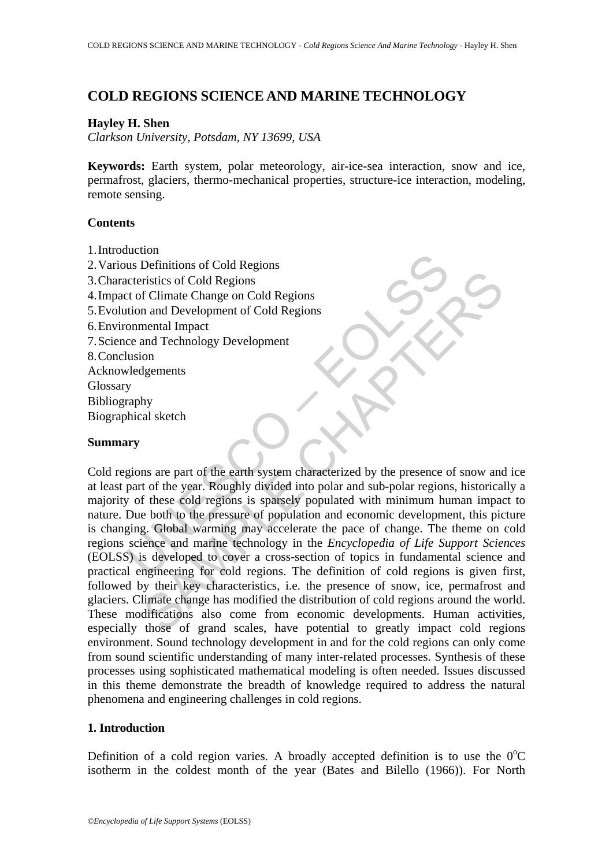# **COLD REGIONS SCIENCE AND MARINE TECHNOLOGY**

# **Hayley H. Shen**

*Clarkson University, Potsdam, NY 13699, USA* 

**Keywords:** Earth system, polar meteorology, air-ice-sea interaction, snow and ice, permafrost, glaciers, thermo-mechanical properties, structure-ice interaction, modeling, remote sensing.

# **Contents**

- 1. Introduction
- 2. Various Definitions of Cold Regions 3. Characteristics of Cold Regions 4. Impact of Climate Change on Cold Regions 5. Evolution and Development of Cold Regions 6. Environmental Impact 7. Science and Technology Development 8. Conclusion Acknowledgements **Glossary** Bibliography
- Biographical sketch

## **Summary**

The United Solutions of Cold Regions<br>
us Definitions of Cold Regions<br>
to f Climate Change on Cold Regions<br>
tion and Development of Cold Regions<br>
onmental Impact<br>
ce and Technology Development<br>
wedgements<br>
velogements<br>
arap ristics of Cold Regions<br>
ristics of Cold Regions<br>
ental Impact<br>
and Development of Cold Regions<br>
and Technology Development<br>
and Technology Development<br>
on<br>
star and Technology Development<br>
on<br>
star and Technology Developm Cold regions are part of the earth system characterized by the presence of snow and ice at least part of the year. Roughly divided into polar and sub-polar regions, historically a majority of these cold regions is sparsely populated with minimum human impact to nature. Due both to the pressure of population and economic development, this picture is changing. Global warming may accelerate the pace of change. The theme on cold regions science and marine technology in the *Encyclopedia of Life Support Sciences* (EOLSS) is developed to cover a cross-section of topics in fundamental science and practical engineering for cold regions. The definition of cold regions is given first, followed by their key characteristics, i.e. the presence of snow, ice, permafrost and glaciers. Climate change has modified the distribution of cold regions around the world. These modifications also come from economic developments. Human activities, especially those of grand scales, have potential to greatly impact cold regions environment. Sound technology development in and for the cold regions can only come from sound scientific understanding of many inter-related processes. Synthesis of these processes using sophisticated mathematical modeling is often needed. Issues discussed in this theme demonstrate the breadth of knowledge required to address the natural phenomena and engineering challenges in cold regions.

## **1. Introduction**

Definition of a cold region varies. A broadly accepted definition is to use the  $0^{\circ}$ C isotherm in the coldest month of the year (Bates and Bilello (1966)). For North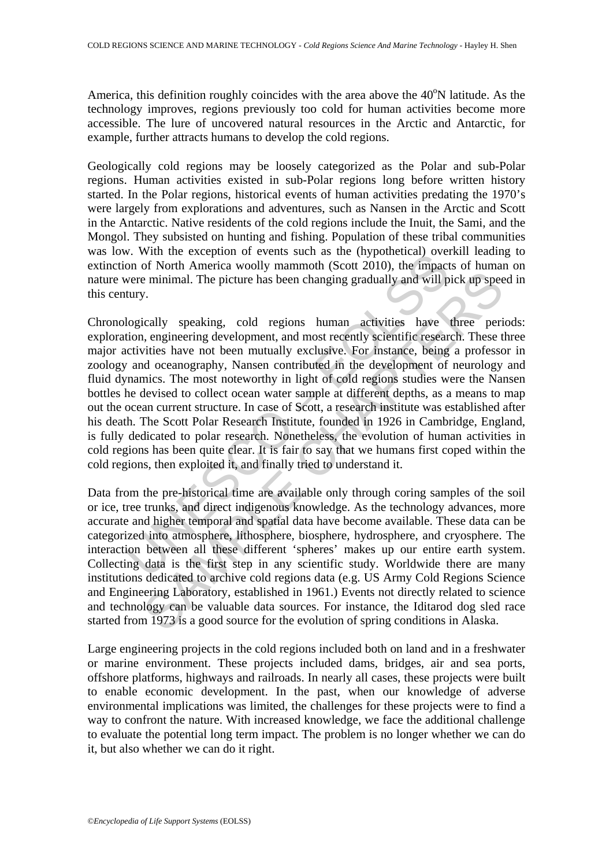America, this definition roughly coincides with the area above the 40°N latitude. As the technology improves, regions previously too cold for human activities become more accessible. The lure of uncovered natural resources in the Arctic and Antarctic, for example, further attracts humans to develop the cold regions.

Geologically cold regions may be loosely categorized as the Polar and sub-Polar regions. Human activities existed in sub-Polar regions long before written history started. In the Polar regions, historical events of human activities predating the 1970's were largely from explorations and adventures, such as Nansen in the Arctic and Scott in the Antarctic. Native residents of the cold regions include the Inuit, the Sami, and the Mongol. They subsisted on hunting and fishing. Population of these tribal communities was low. With the exception of events such as the (hypothetical) overkill leading to extinction of North America woolly mammoth (Scott 2010), the impacts of human on nature were minimal. The picture has been changing gradually and will pick up speed in this century.

v. with the exception of vertis start as the (tripotocolar) over<br>on of North America woolly mammoth (Scott 2010), the impact<br>one of North America woolly mammoth (Scott 2010), the impact<br>tury.<br>Vogically speaking, cold regio is eminimal. The picture has been changing gradually and will pick up speed winding. The picture has been changing gradually and will pick up speed winding the picture has been changing gradually and will pick up speed wit Chronologically speaking, cold regions human activities have three periods: exploration, engineering development, and most recently scientific research. These three major activities have not been mutually exclusive. For instance, being a professor in zoology and oceanography, Nansen contributed in the development of neurology and fluid dynamics. The most noteworthy in light of cold regions studies were the Nansen bottles he devised to collect ocean water sample at different depths, as a means to map out the ocean current structure. In case of Scott, a research institute was established after his death. The Scott Polar Research Institute, founded in 1926 in Cambridge, England, is fully dedicated to polar research. Nonetheless, the evolution of human activities in cold regions has been quite clear. It is fair to say that we humans first coped within the cold regions, then exploited it, and finally tried to understand it.

Data from the pre-historical time are available only through coring samples of the soil or ice, tree trunks, and direct indigenous knowledge. As the technology advances, more accurate and higher temporal and spatial data have become available. These data can be categorized into atmosphere, lithosphere, biosphere, hydrosphere, and cryosphere. The interaction between all these different 'spheres' makes up our entire earth system. Collecting data is the first step in any scientific study. Worldwide there are many institutions dedicated to archive cold regions data (e.g. US Army Cold Regions Science and Engineering Laboratory, established in 1961.) Events not directly related to science and technology can be valuable data sources. For instance, the Iditarod dog sled race started from 1973 is a good source for the evolution of spring conditions in Alaska.

Large engineering projects in the cold regions included both on land and in a freshwater or marine environment. These projects included dams, bridges, air and sea ports, offshore platforms, highways and railroads. In nearly all cases, these projects were built to enable economic development. In the past, when our knowledge of adverse environmental implications was limited, the challenges for these projects were to find a way to confront the nature. With increased knowledge, we face the additional challenge to evaluate the potential long term impact. The problem is no longer whether we can do it, but also whether we can do it right.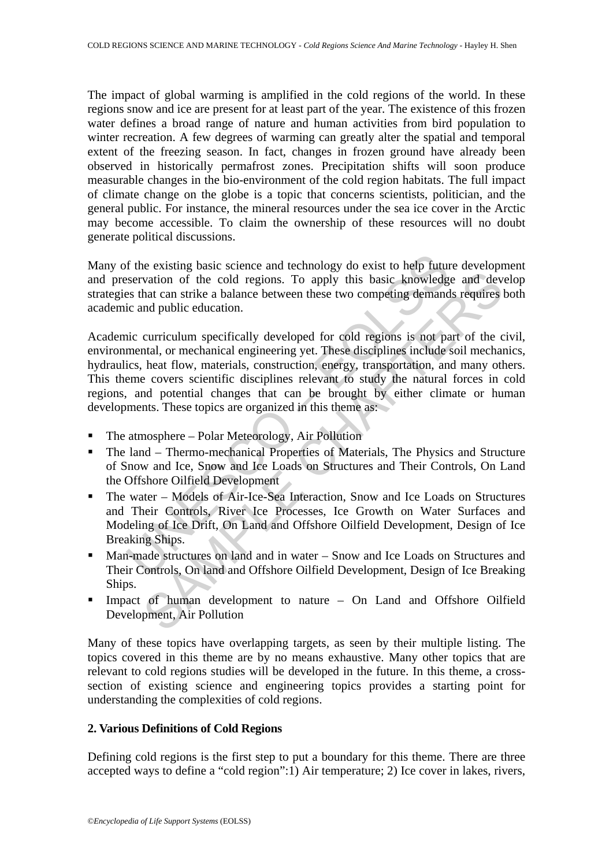The impact of global warming is amplified in the cold regions of the world. In these regions snow and ice are present for at least part of the year. The existence of this frozen water defines a broad range of nature and human activities from bird population to winter recreation. A few degrees of warming can greatly alter the spatial and temporal extent of the freezing season. In fact, changes in frozen ground have already been observed in historically permafrost zones. Precipitation shifts will soon produce measurable changes in the bio-environment of the cold region habitats. The full impact of climate change on the globe is a topic that concerns scientists, politician, and the general public. For instance, the mineral resources under the sea ice cover in the Arctic may become accessible. To claim the ownership of these resources will no doubt generate political discussions.

Many of the existing basic science and technology do exist to help future development and preservation of the cold regions. To apply this basic knowledge and develop strategies that can strike a balance between these two competing demands requires both academic and public education.

of the existing basic science and technology do exist to help futures expertation of the cold regions. To apply this basic knowledges that can strike a balance between these two competing demand<br>ic and public education.<br>In vation of the cold regions. To apply this basic knowledge and dev<br>vation of the cold regions. To apply this basic knowledge and dev<br>hat can strike a balance between these two competing demands requires<br>in qublic education. Academic curriculum specifically developed for cold regions is not part of the civil, environmental, or mechanical engineering yet. These disciplines include soil mechanics, hydraulics, heat flow, materials, construction, energy, transportation, and many others. This theme covers scientific disciplines relevant to study the natural forces in cold regions, and potential changes that can be brought by either climate or human developments. These topics are organized in this theme as:

- The atmosphere Polar Meteorology, Air Pollution
- The land Thermo-mechanical Properties of Materials, The Physics and Structure of Snow and Ice, Snow and Ice Loads on Structures and Their Controls, On Land the Offshore Oilfield Development
- The water Models of Air-Ice-Sea Interaction, Snow and Ice Loads on Structures and Their Controls, River Ice Processes, Ice Growth on Water Surfaces and Modeling of Ice Drift, On Land and Offshore Oilfield Development, Design of Ice Breaking Ships.
- Man-made structures on land and in water Snow and Ice Loads on Structures and Their Controls, On land and Offshore Oilfield Development, Design of Ice Breaking Ships.
- Impact of human development to nature On Land and Offshore Oilfield Development, Air Pollution

Many of these topics have overlapping targets, as seen by their multiple listing. The topics covered in this theme are by no means exhaustive. Many other topics that are relevant to cold regions studies will be developed in the future. In this theme, a crosssection of existing science and engineering topics provides a starting point for understanding the complexities of cold regions.

# **2. Various Definitions of Cold Regions**

Defining cold regions is the first step to put a boundary for this theme. There are three accepted ways to define a "cold region":1) Air temperature; 2) Ice cover in lakes, rivers,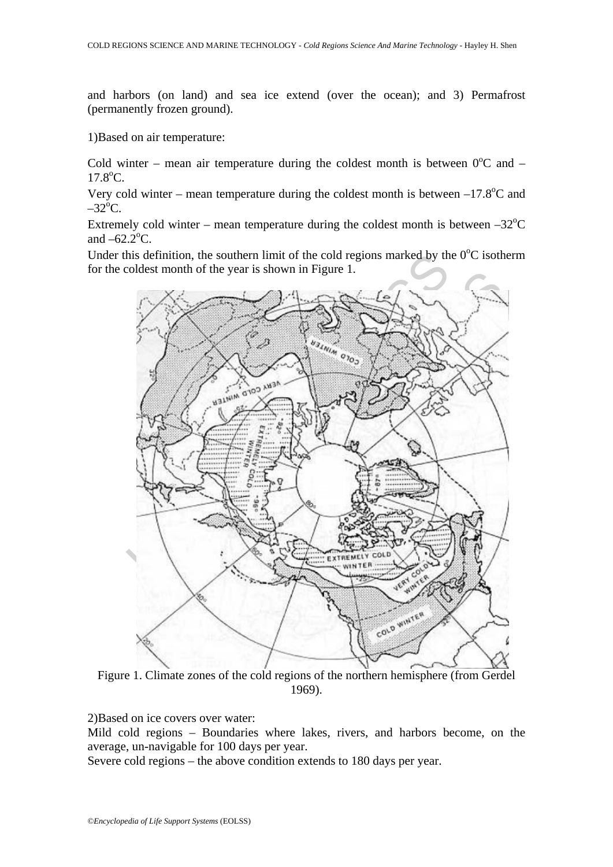and harbors (on land) and sea ice extend (over the ocean); and 3) Permafrost (permanently frozen ground).

1)Based on air temperature:

Cold winter – mean air temperature during the coldest month is between  $0^{\circ}$ C and –  $17.8$ °C.

Very cold winter – mean temperature during the coldest month is between  $-17.8^{\circ}$ C and  $-32^{\circ}$ C.

Extremely cold winter – mean temperature during the coldest month is between  $-32^{\circ}$ C and  $-62.2^{\circ}$ C.

Under this definition, the southern limit of the cold regions marked by the  $0^{\circ}$ C isotherm for the coldest month of the year is shown in Figure 1.



Figure 1. Climate zones of the cold regions of the northern hemisphere (from Gerdel 1969).

2)Based on ice covers over water:

Mild cold regions – Boundaries where lakes, rivers, and harbors become, on the average, un-navigable for 100 days per year.

Severe cold regions – the above condition extends to 180 days per year.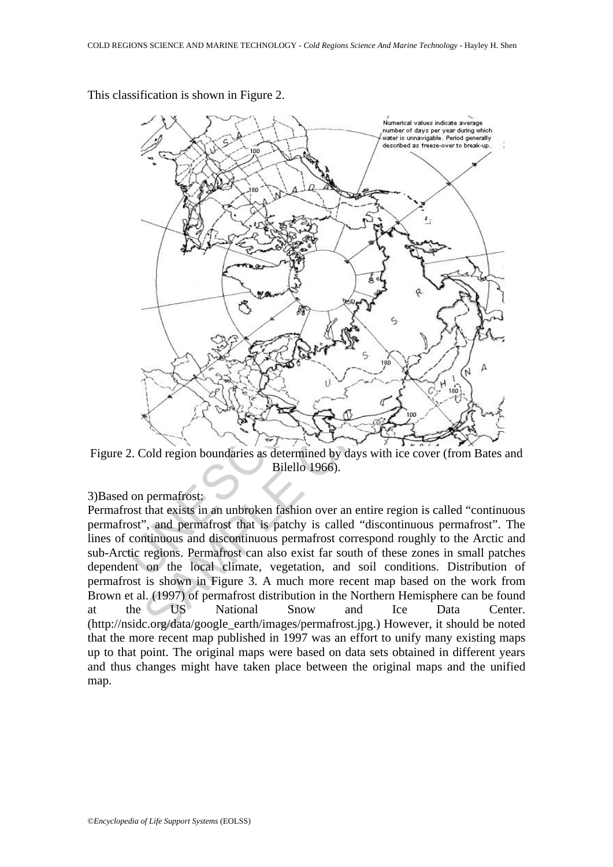

This classification is shown in Figure 2.

Figure 2. Cold region boundaries as determined by days with ice cover (from Bates and Bilello 1966).

# 3)Based on permafrost:

Permafrost that exists in an unbroken fashion over an entire region is called "continuous permafrost", and permafrost that is patchy is called "discontinuous permafrost". The lines of continuous and discontinuous permafrost correspond roughly to the Arctic and sub-Arctic regions. Permafrost can also exist far south of these zones in small patches dependent on the local climate, vegetation, and soil conditions. Distribution of permafrost is shown in Figure 3. A much more recent map based on the work from Brown et al. (1997) of permafrost distribution in the Northern Hemisphere can be found at the US National Snow and Ice Data Center. (http://nsidc.org/data/google\_earth/images/permafrost.jpg.) However, it should be noted that the more recent map published in 1997 was an effort to unify many existing maps up to that point. The original maps were based on data sets obtained in different years and thus changes might have taken place between the original maps and the unified map.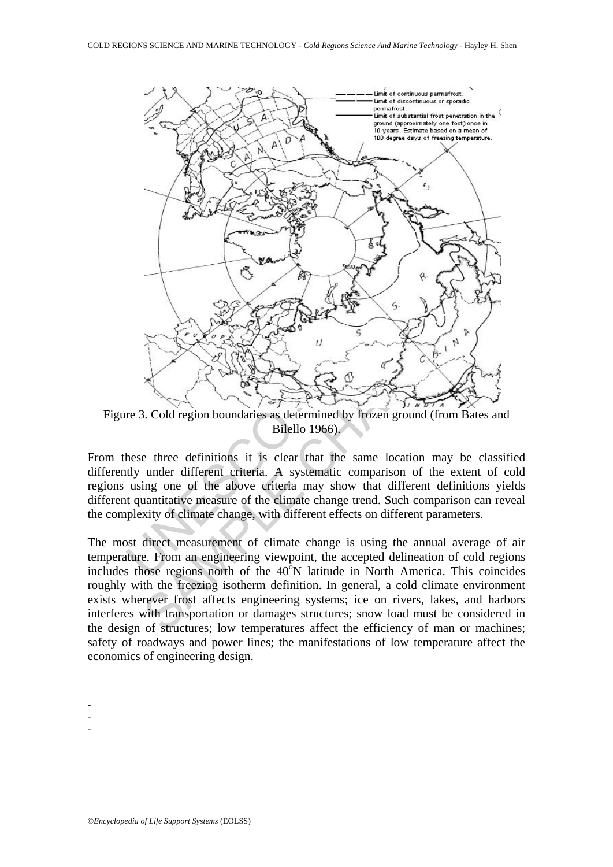

Figure 3. Cold region boundaries as determined by frozen ground (from Bates and Bilello 1966).

From these three definitions it is clear that the same location may be classified differently under different criteria. A systematic comparison of the extent of cold regions using one of the above criteria may show that different definitions yields different quantitative measure of the climate change trend. Such comparison can reveal the complexity of climate change, with different effects on different parameters.

The most direct measurement of climate change is using the annual average of air temperature. From an engineering viewpoint, the accepted delineation of cold regions includes those regions north of the  $40^{\circ}$ N latitude in North America. This coincides roughly with the freezing isotherm definition. In general, a cold climate environment exists wherever frost affects engineering systems; ice on rivers, lakes, and harbors interferes with transportation or damages structures; snow load must be considered in the design of structures; low temperatures affect the efficiency of man or machines; safety of roadways and power lines; the manifestations of low temperature affect the economics of engineering design.

- -
- -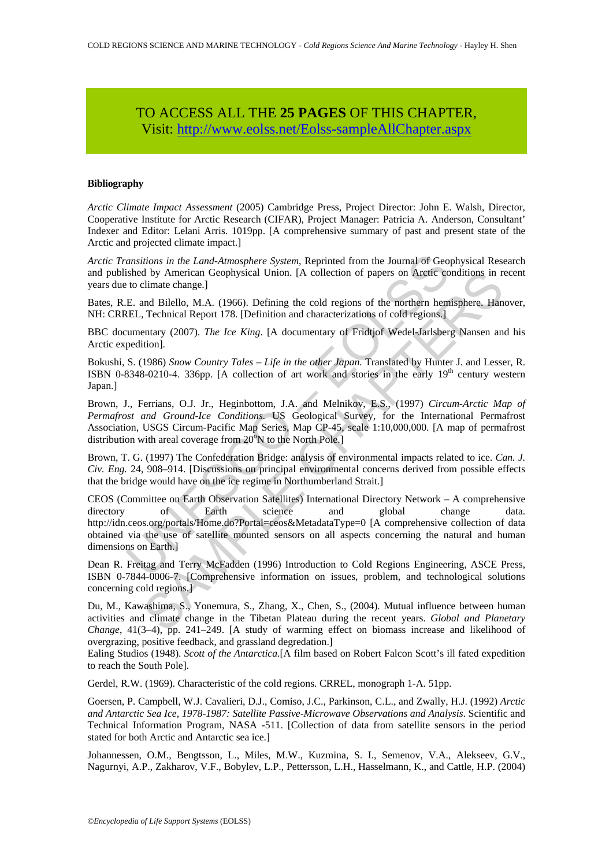# TO ACCESS ALL THE **25 PAGES** OF THIS CHAPTER, Visi[t: http://www.eolss.net/Eolss-sampleAllChapter.aspx](https://www.eolss.net/ebooklib/sc_cart.aspx?File=E6-178-00-00)

#### **Bibliography**

*Arctic Climate Impact Assessment* (2005) Cambridge Press, Project Director: John E. Walsh, Director, Cooperative Institute for Arctic Research (CIFAR), Project Manager: Patricia A. Anderson, Consultant' Indexer and Editor: Lelani Arris. 1019pp. [A comprehensive summary of past and present state of the Arctic and projected climate impact.]

*Arctic Transitions in the Land-Atmosphere System*, Reprinted from the Journal of Geophysical Research and published by American Geophysical Union. [A collection of papers on Arctic conditions in recent years due to climate change.]

Bates, R.E. and Bilello, M.A. (1966). Defining the cold regions of the northern hemisphere. Hanover, NH: CRREL, Technical Report 178. [Definition and characterizations of cold regions.]

BBC documentary (2007). *The Ice King*. [A documentary of Fridtjof Wedel-Jarlsberg Nansen and his Arctic expedition].

Bokushi, S. (1986) *Snow Country Tales – Life in the other Japan.* Translated by Hunter J. and Lesser, R. ISBN 0-8348-0210-4. 336pp. [A collection of art work and stories in the early  $19<sup>th</sup>$  century western Japan.]

Brown, J., Ferrians, O.J. Jr., Heginbottom, J.A. and Melnikov, E.S., (1997) *Circum-Arctic Map of Permafrost and Ground-Ice Conditions.* US Geological Survey, for the International Permafrost Association, USGS Circum-Pacific Map Series, Map CP-45, scale 1:10,000,000. [A map of permafrost distribution with areal coverage from  $20^{\circ}$ N to the North Pole.]

Brown, T. G. (1997) The Confederation Bridge: analysis of environmental impacts related to ice. *Can. J. Civ. Eng.* 24, 908–914. [Discussions on principal environmental concerns derived from possible effects that the bridge would have on the ice regime in Northumberland Strait.]

ansitions in the Land-Atmosphere System, Reprinted from the Journal of Geotished by American Geophysical Union. [A collection of papers on Aretic co to climate change.]<br>
E. and Bilello, M.A. (1966). Defining the cold regio d by American Geophysical Union. [A collection of papers on Arctic conditions in p<br>
elimate change.]<br>
elimate change.]<br>
and Bilello, M.A. (1966). Definition and characterizations of cold regions.]<br>
and Bilello, M.A. (1966 CEOS (Committee on Earth Observation Satellites) International Directory Network – A comprehensive directory of Earth science and global change data. http://idn.ceos.org/portals/Home.do?Portal=ceos&MetadataType=0 [A comprehensive collection of data obtained via the use of satellite mounted sensors on all aspects concerning the natural and human dimensions on Earth.]

Dean R. Freitag and Terry McFadden (1996) Introduction to Cold Regions Engineering, ASCE Press, ISBN 0-7844-0006-7. [Comprehensive information on issues, problem, and technological solutions concerning cold regions.]

Du, M., Kawashima, S., Yonemura, S., Zhang, X., Chen, S., (2004). Mutual influence between human activities and climate change in the Tibetan Plateau during the recent years. *Global and Planetary Change*, 41(3–4), pp. 241–249. [A study of warming effect on biomass increase and likelihood of overgrazing, positive feedback, and grassland degredation.]

Ealing Studios (1948). *Scott of the Antarctica.*[A film based on Robert Falcon Scott's ill fated expedition to reach the South Pole].

Gerdel, R.W. (1969). Characteristic of the cold regions. CRREL, monograph 1-A. 51pp.

Goersen, P. Campbell, W.J. Cavalieri, D.J., Comiso, J.C., Parkinson, C.L., and Zwally, H.J. (1992) *Arctic and Antarctic Sea Ice, 1978-1987: Satellite Passive-Microwave Observations and Analysis*. Scientific and Technical Information Program, NASA -511. [Collection of data from satellite sensors in the period stated for both Arctic and Antarctic sea ice.]

Johannessen, O.M., Bengtsson, L., Miles, M.W., Kuzmina, S. I., Semenov, V.A., Alekseev, G.V., Nagurnyi, A.P., Zakharov, V.F., Bobylev, L.P., Pettersson, L.H., Hasselmann, K., and Cattle, H.P. (2004)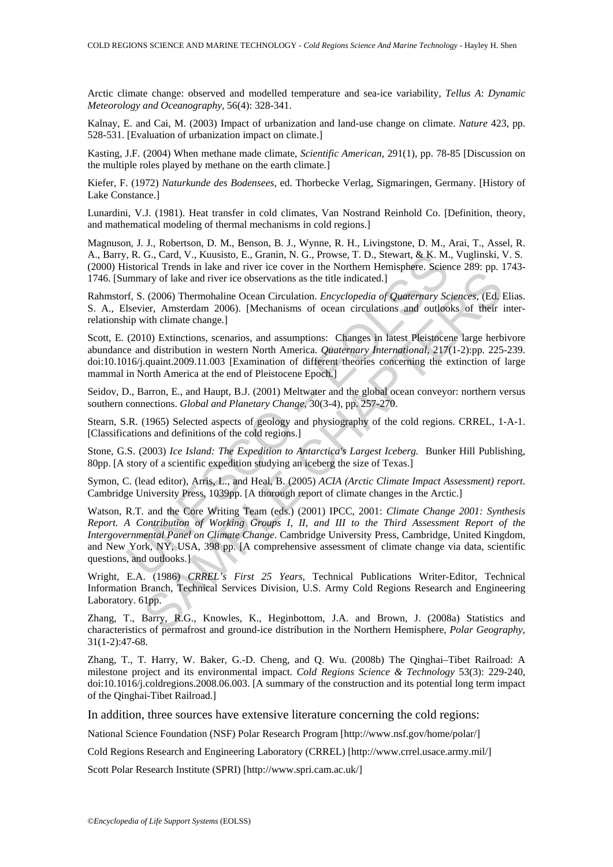Arctic climate change: observed and modelled temperature and sea-ice variability, *Tellus A*: *Dynamic Meteorology and Oceanography*, 56(4): 328-341.

Kalnay, E. and Cai, M. (2003) Impact of urbanization and land-use change on climate. *Nature* 423, pp. 528-531. [Evaluation of urbanization impact on climate.]

Kasting, J.F. (2004) When methane made climate, *Scientific American*, 291(1), pp. 78-85 [Discussion on the multiple roles played by methane on the earth climate.]

Kiefer, F. (1972) *Naturkunde des Bodensees*, ed. Thorbecke Verlag, Sigmaringen, Germany. [History of Lake Constance.]

Lunardini, V.J. (1981). Heat transfer in cold climates, Van Nostrand Reinhold Co. [Definition, theory, and mathematical modeling of thermal mechanisms in cold regions.]

Magnuson, J. J., Robertson, D. M., Benson, B. J., Wynne, R. H., Livingstone, D. M., Arai, T., Assel, R. A., Barry, R. G., Card, V., Kuusisto, E., Granin, N. G., Prowse, T. D., Stewart, & K. M., Vuglinski, V. S. (2000) Historical Trends in lake and river ice cover in the Northern Hemisphere. Science 289: pp. 1743- 1746. [Summary of lake and river ice observations as the title indicated.]

Rahmstorf, S. (2006) Thermohaline Ocean Circulation. *Encyclopedia of Quaternary Sciences*, (Ed. Elias. S. A., Elsevier, Amsterdam 2006). [Mechanisms of ocean circulations and outlooks of their interrelationship with climate change.]

Scott, E. (2010) Extinctions, scenarios, and assumptions: Changes in latest Pleistocene large herbivore abundance and distribution in western North America. *Quaternary International*, 217(1-2):pp. 225-239. doi:10.1016/j.quaint.2009.11.003 [Examination of different theories concerning the extinction of large mammal in North America at the end of Pleistocene Epoch.]

Seidov, D., Barron, E., and Haupt, B.J. (2001) Meltwater and the global ocean conveyor: northern versus southern connections. *Global and Planetary Change*, 30(3-4), pp. 257-270.

Stearn, S.R. (1965) Selected aspects of geology and physiography of the cold regions. CRREL, 1-A-1. [Classifications and definitions of the cold regions.]

Stone, G.S. (2003) *Ice Island: The Expedition to Antarctica's Largest Iceberg.* Bunker Hill Publishing, 80pp. [A story of a scientific expedition studying an iceberg the size of Texas.]

Symon, C. (lead editor), Arris, L., and Heal, B. (2005) *ACIA (Arctic Climate Impact Assessment) report*. Cambridge University Press, 1039pp. [A thorough report of climate changes in the Arctic.]

, R. G., Card, V., Kuusisto, E., Granin, N. G., Prowse, T. D., Stewart, & K. M.<br>
istorical Trends in lake and river ice cover in the Northern Hemisphere. Scientimary of lake and river ice observations as the tile indicate Example The Content and The Content and The Content and The Nature Content and The Nature Content and The Nature The American content and the content and the chaptain of the chinal chaptains of ocean circulations and outlo Watson, R.T. and the Core Writing Team (eds.) (2001) IPCC, 2001: *Climate Change 2001: Synthesis Report. A Contribution of Working Groups I, II, and III to the Third Assessment Report of the Intergovernmental Panel on Climate Change*. Cambridge University Press, Cambridge, United Kingdom, and New York, NY, USA, 398 pp. [A comprehensive assessment of climate change via data, scientific questions, and outlooks.]

Wright, E.A. (1986) *CRREL's First 25 Years*, Technical Publications Writer-Editor, Technical Information Branch, Technical Services Division, U.S. Army Cold Regions Research and Engineering Laboratory. 61pp.

Zhang, T., Barry, R.G., Knowles, K., Heginbottom, J.A. and Brown, J. (2008a) Statistics and characteristics of permafrost and ground-ice distribution in the Northern Hemisphere, *Polar Geography*, 31(1-2):47-68.

Zhang, T., T. Harry, W. Baker, G.-D. Cheng, and Q. Wu. (2008b) The Qinghai–Tibet Railroad: A milestone project and its environmental impact. *Cold Regions Science & Technology* 53(3): 229-240, doi:10.1016/j.coldregions.2008.06.003. [A summary of the construction and its potential long term impact of the Qinghai-Tibet Railroad.]

In addition, three sources have extensive literature concerning the cold regions:

National Science Foundation (NSF) Polar Research Program [http://www.nsf.gov/home/polar/]

Cold Regions Research and Engineering Laboratory (CRREL) [http://www.crrel.usace.army.mil/]

Scott Polar Research Institute (SPRI) [http://www.spri.cam.ac.uk/]